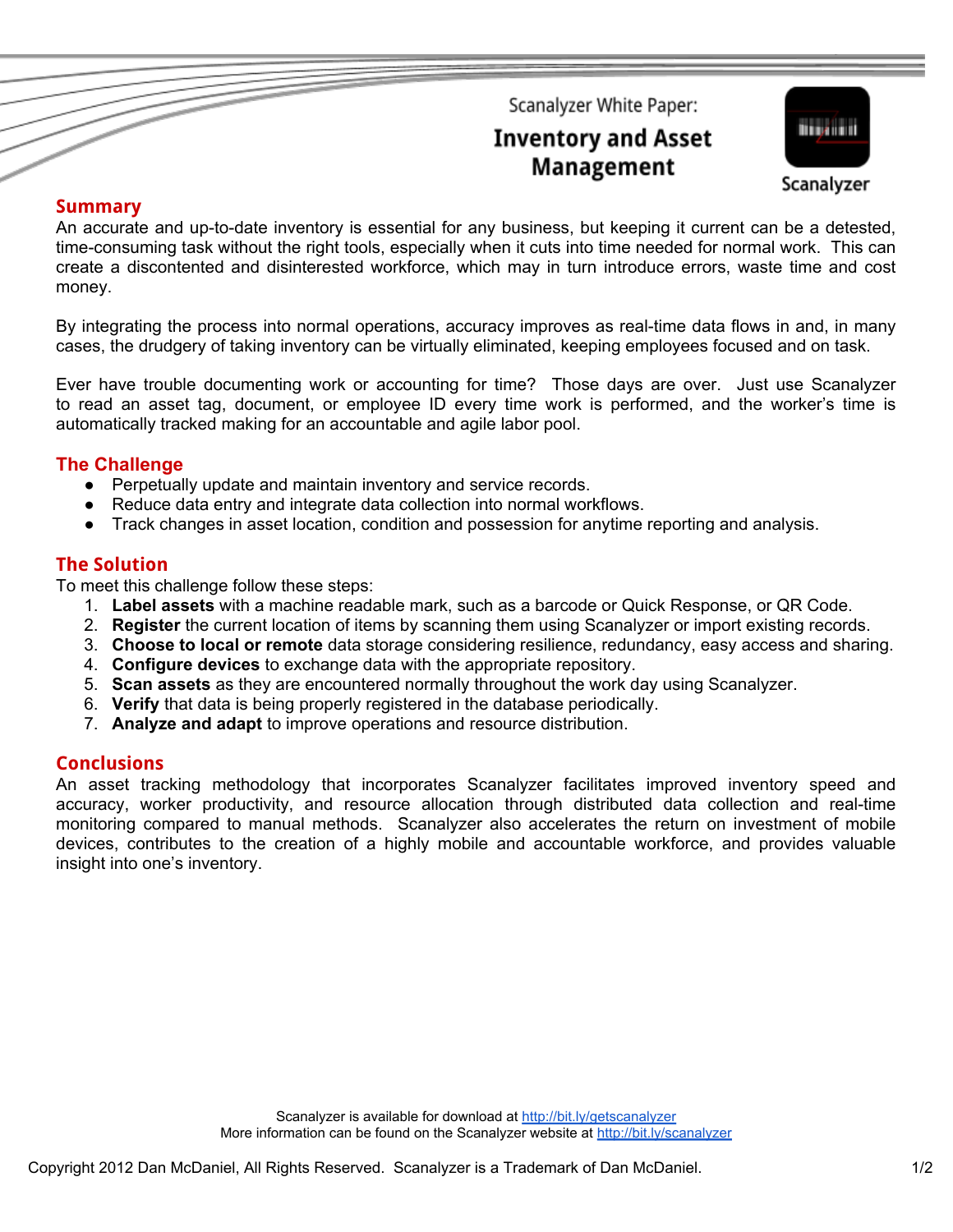Scanalyzer White Paper:

# **Inventory and Asset** Management



#### **Summary**

An accurate and up-to-date inventory is essential for any business, but keeping it current can be a detested, time-consuming task without the right tools, especially when it cuts into time needed for normal work. This can create a discontented and disinterested workforce, which may in turn introduce errors, waste time and cost money.

By integrating the process into normal operations, accuracy improves as real-time data flows in and, in many cases, the drudgery of taking inventory can be virtually eliminated, keeping employees focused and on task.

Ever have trouble documenting work or accounting for time? Those days are over. Just use Scanalyzer to read an asset tag, document, or employee ID every time work is performed, and the worker's time is automatically tracked making for an accountable and agile labor pool.

### **The Challenge**

- Perpetually update and maintain inventory and service records.
- Reduce data entry and integrate data collection into normal workflows.
- Track changes in asset location, condition and possession for anytime reporting and analysis.

## **The Solution**

To meet this challenge follow these steps:

- 1. **Label assets** with a machine readable mark, such as a barcode or Quick Response, or QR Code.
- 2. **Register** the current location of items by scanning them using Scanalyzer or import existing records.
- 3. **Choose to local or remote** data storage considering resilience, redundancy, easy access and sharing.
- 4. **Configure devices** to exchange data with the appropriate repository.
- 5. **Scan assets** as they are encountered normally throughout the work day using Scanalyzer.
- 6. **Verify** that data is being properly registered in the database periodically.
- 7. **Analyze and adapt** to improve operations and resource distribution.

### **Conclusions**

An asset tracking methodology that incorporates Scanalyzer facilitates improved inventory speed and accuracy, worker productivity, and resource allocation through distributed data collection and real-time monitoring compared to manual methods. Scanalyzer also accelerates the return on investment of mobile devices, contributes to the creation of a highly mobile and accountable workforce, and provides valuable insight into one's inventory.